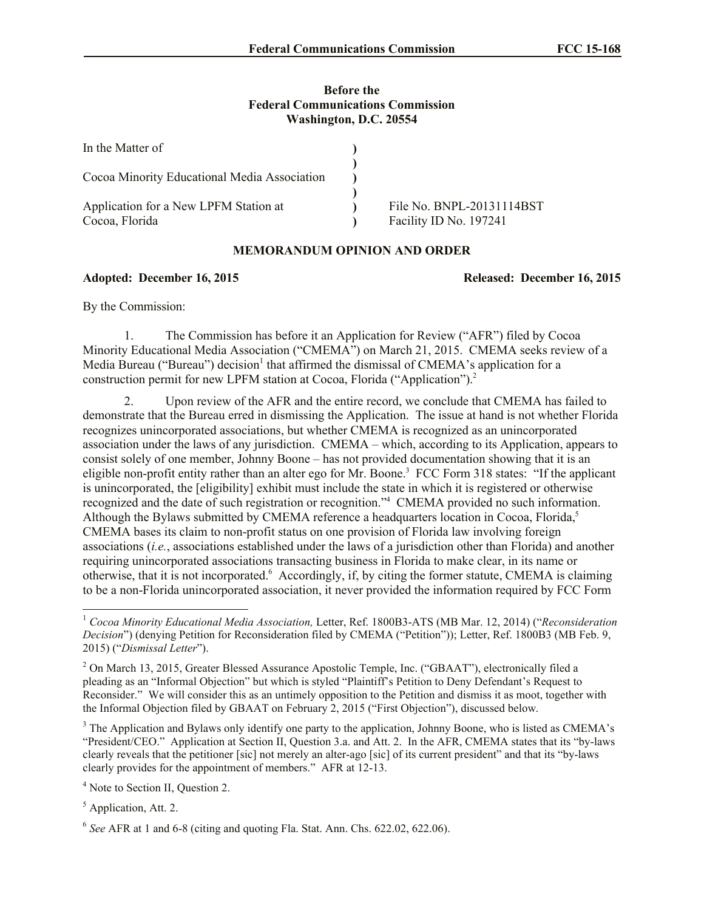## **Before the Federal Communications Commission Washington, D.C. 20554**

| In the Matter of                                        |                                                     |
|---------------------------------------------------------|-----------------------------------------------------|
| Cocoa Minority Educational Media Association            |                                                     |
| Application for a New LPFM Station at<br>Cocoa, Florida | File No. BNPL-20131114BST<br>Facility ID No. 197241 |

## **MEMORANDUM OPINION AND ORDER**

## **Adopted: December 16, 2015 Released: December 16, 2015**

By the Commission:

1. The Commission has before it an Application for Review ("AFR") filed by Cocoa Minority Educational Media Association ("CMEMA") on March 21, 2015. CMEMA seeks review of a Media Bureau ("Bureau") decision<sup>1</sup> that affirmed the dismissal of CMEMA's application for a construction permit for new LPFM station at Cocoa, Florida ("Application"). 2

2. Upon review of the AFR and the entire record, we conclude that CMEMA has failed to demonstrate that the Bureau erred in dismissing the Application. The issue at hand is not whether Florida recognizes unincorporated associations, but whether CMEMA is recognized as an unincorporated association under the laws of any jurisdiction. CMEMA – which, according to its Application, appears to consist solely of one member, Johnny Boone – has not provided documentation showing that it is an eligible non-profit entity rather than an alter ego for Mr. Boone.<sup>3</sup> FCC Form 318 states: "If the applicant is unincorporated, the [eligibility] exhibit must include the state in which it is registered or otherwise recognized and the date of such registration or recognition."<sup>4</sup> CMEMA provided no such information. Although the Bylaws submitted by CMEMA reference a headquarters location in Cocoa, Florida,<sup>5</sup> CMEMA bases its claim to non-profit status on one provision of Florida law involving foreign associations (*i.e.*, associations established under the laws of a jurisdiction other than Florida) and another requiring unincorporated associations transacting business in Florida to make clear, in its name or otherwise, that it is not incorporated. <sup>6</sup> Accordingly, if, by citing the former statute, CMEMA is claiming to be a non-Florida unincorporated association, it never provided the information required by FCC Form

<sup>3</sup> The Application and Bylaws only identify one party to the application, Johnny Boone, who is listed as CMEMA's "President/CEO." Application at Section II, Question 3.a. and Att. 2. In the AFR, CMEMA states that its "by-laws clearly reveals that the petitioner [sic] not merely an alter-ago [sic] of its current president" and that its "by-laws clearly provides for the appointment of members." AFR at 12-13.

<sup>4</sup> Note to Section II, Question 2.

<sup>5</sup> Application, Att. 2.

l

<sup>1</sup> *Cocoa Minority Educational Media Association,* Letter, Ref. 1800B3-ATS (MB Mar. 12, 2014) ("*Reconsideration Decision*") (denying Petition for Reconsideration filed by CMEMA ("Petition")); Letter, Ref. 1800B3 (MB Feb. 9, 2015) ("*Dismissal Letter*").

<sup>&</sup>lt;sup>2</sup> On March 13, 2015, Greater Blessed Assurance Apostolic Temple, Inc. ("GBAAT"), electronically filed a pleading as an "Informal Objection" but which is styled "Plaintiff's Petition to Deny Defendant's Request to Reconsider." We will consider this as an untimely opposition to the Petition and dismiss it as moot, together with the Informal Objection filed by GBAAT on February 2, 2015 ("First Objection"), discussed below.

<sup>6</sup> *See* AFR at 1 and 6-8 (citing and quoting Fla. Stat. Ann. Chs. 622.02, 622.06).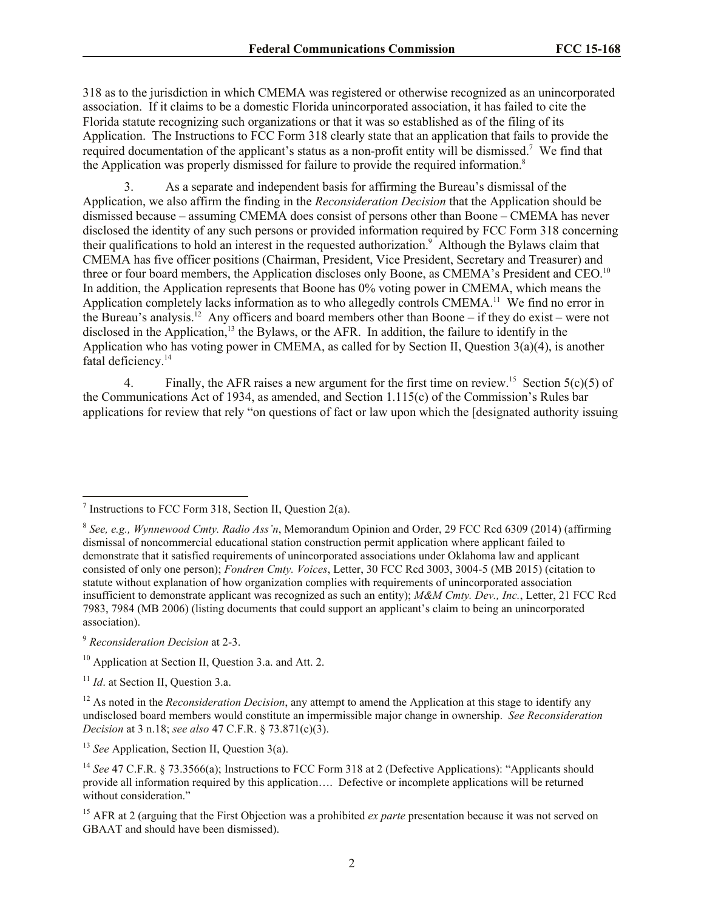318 as to the jurisdiction in which CMEMA was registered or otherwise recognized as an unincorporated association. If it claims to be a domestic Florida unincorporated association, it has failed to cite the Florida statute recognizing such organizations or that it was so established as of the filing of its Application. The Instructions to FCC Form 318 clearly state that an application that fails to provide the required documentation of the applicant's status as a non-profit entity will be dismissed.<sup>7</sup> We find that the Application was properly dismissed for failure to provide the required information.<sup>8</sup>

3. As a separate and independent basis for affirming the Bureau's dismissal of the Application, we also affirm the finding in the *Reconsideration Decision* that the Application should be dismissed because – assuming CMEMA does consist of persons other than Boone – CMEMA has never disclosed the identity of any such persons or provided information required by FCC Form 318 concerning their qualifications to hold an interest in the requested authorization. 9 Although the Bylaws claim that CMEMA has five officer positions (Chairman, President, Vice President, Secretary and Treasurer) and three or four board members, the Application discloses only Boone, as CMEMA's President and CEO.<sup>10</sup> In addition, the Application represents that Boone has 0% voting power in CMEMA, which means the Application completely lacks information as to who allegedly controls CMEMA.<sup>11</sup> We find no error in the Bureau's analysis.<sup>12</sup> Any officers and board members other than Boone – if they do exist – were not disclosed in the Application,<sup>13</sup> the Bylaws, or the AFR. In addition, the failure to identify in the Application who has voting power in CMEMA, as called for by Section II, Question 3(a)(4), is another fatal deficiency.<sup>14</sup>

4. Finally, the AFR raises a new argument for the first time on review.<sup>15</sup> Section 5(c)(5) of the Communications Act of 1934, as amended, and Section 1.115(c) of the Commission's Rules bar applications for review that rely "on questions of fact or law upon which the [designated authority issuing

 $\overline{\phantom{a}}$ 

<sup>&</sup>lt;sup>7</sup> Instructions to FCC Form 318, Section II, Question 2(a).

<sup>8</sup> *See, e.g., Wynnewood Cmty. Radio Ass'n*, Memorandum Opinion and Order, 29 FCC Rcd 6309 (2014) (affirming dismissal of noncommercial educational station construction permit application where applicant failed to demonstrate that it satisfied requirements of unincorporated associations under Oklahoma law and applicant consisted of only one person); *Fondren Cmty. Voices*, Letter, 30 FCC Rcd 3003, 3004-5 (MB 2015) (citation to statute without explanation of how organization complies with requirements of unincorporated association insufficient to demonstrate applicant was recognized as such an entity); *M&M Cmty. Dev., Inc.*, Letter, 21 FCC Rcd 7983, 7984 (MB 2006) (listing documents that could support an applicant's claim to being an unincorporated association).

<sup>9</sup> *Reconsideration Decision* at 2-3.

<sup>&</sup>lt;sup>10</sup> Application at Section II, Question 3.a. and Att. 2.

<sup>&</sup>lt;sup>11</sup> *Id.* at Section II, Question 3.a.

<sup>&</sup>lt;sup>12</sup> As noted in the *Reconsideration Decision*, any attempt to amend the Application at this stage to identify any undisclosed board members would constitute an impermissible major change in ownership. *See Reconsideration Decision* at 3 n.18; *see also* 47 C.F.R. § 73.871(c)(3).

<sup>&</sup>lt;sup>13</sup> *See* Application, Section II, Question 3(a).

<sup>&</sup>lt;sup>14</sup> See 47 C.F.R. § 73.3566(a); Instructions to FCC Form 318 at 2 (Defective Applications): "Applicants should provide all information required by this application…. Defective or incomplete applications will be returned without consideration."

<sup>&</sup>lt;sup>15</sup> AFR at 2 (arguing that the First Objection was a prohibited *ex parte* presentation because it was not served on GBAAT and should have been dismissed).